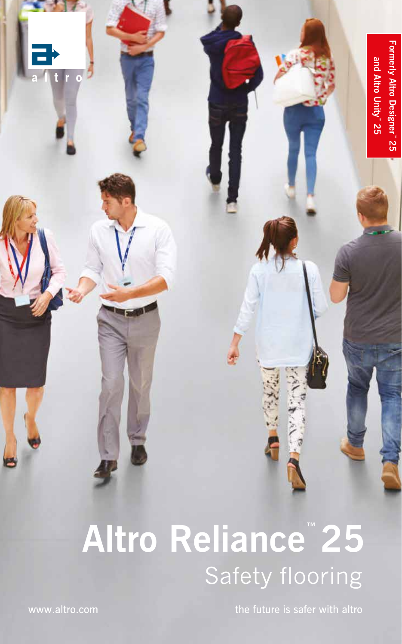

## **Altro Reliance™ 25** Safety flooring

www.altro.com the future is safer with altro

 $\overline{0}$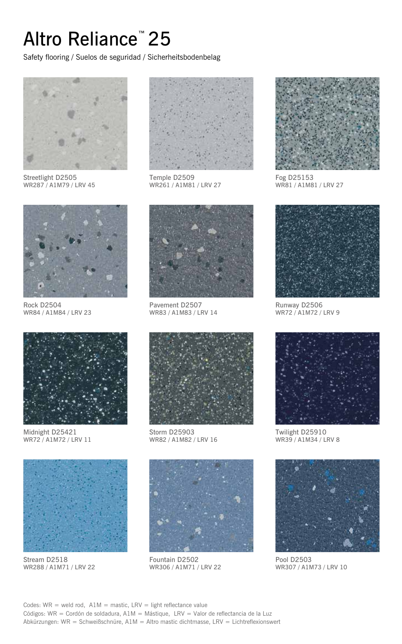## Altro Reliance™ 25

Safety flooring / Suelos de seguridad / Sicherheitsbodenbelag



Streetlight D2505 WR287 / A1M79 / LRV 45



Rock D2504 WR84 / A1M84 / LRV 23



Midnight D25421 WR72 / A1M72 / LRV 11



Stream D2518 WR288 / A1M71 / LRV 22



Temple D2509 WR261 / A1M81 / LRV 27



Pavement D2507 WR83 / A1M83 / LRV 14



Storm D25903 WR82 / A1M82 / LRV 16



Fountain D2502 WR306 / A1M71 / LRV 22



Fog D25153 WR81 / A1M81 / LRV 27



Runway D2506 WR72 / A1M72 / LRV 9



Twilight D25910 WR39 / A1M34 / LRV 8



Pool D2503 WR307 / A1M73 / LRV 10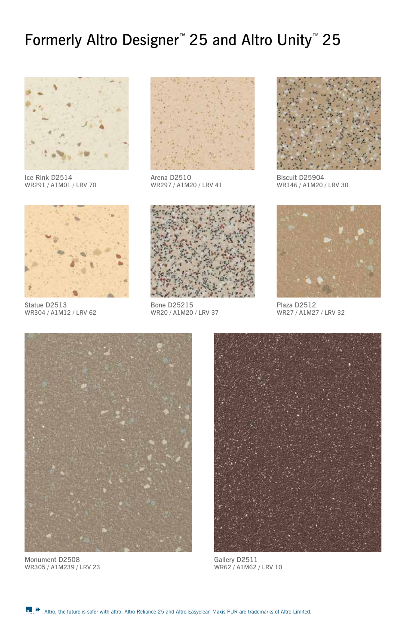## Formerly Altro Designer™ 25 and Altro Unity™ 25



Ice Rink D2514 WR291 / A1M01 / LRV 70



Arena D2510 WR297 / A1M20 / LRV 41



Biscuit D25904 WR146 / A1M20 / LRV 30



Statue D2513 WR304 / A1M12 / LRV 62



Bone D25215 WR20 / A1M20 / LRV 37



Plaza D2512 WR27 / A1M27 / LRV 32



Monument D2508 WR305 / A1M239 / LRV 23



Gallery D2511 WR62 / A1M62 / LRV 10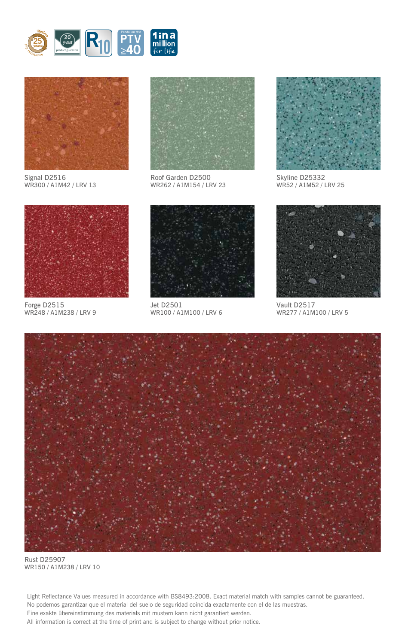



Signal D2516 WR300 / A1M42 / LRV 13



Roof Garden D2500 WR262 / A1M154 / LRV 23 Pendulum test **PTV**



Skyline D25332 WR52 / A1M52 / LRV 25



Forge D2515 WR248 / A1M238 / LRV 9



Jet D2501 WR100 / A1M100 / LRV 6



Vault D2517 WR277 / A1M100 / LRV 5



Rust D25907 WR150 / A1M238 / LRV 10

Light Reflectance Values measured in accordance with BS8493:2008. Exact material match with samples cannot be guaranteed. No podemos garantizar que el material del suelo de seguridad coincida exactamente con el de las muestras. Eine exakte übereinstimmung des materials mit mustern kann nicht garantiert werden. All information is correct at the time of print and is subject to change without prior notice.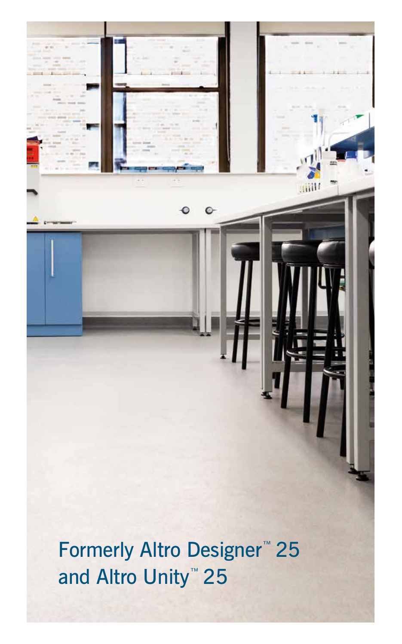Formerly Altro Designer<sup>™</sup> 25 and Altro Unity<sup>™</sup> 25

 $\bullet$ 

 $\bullet$